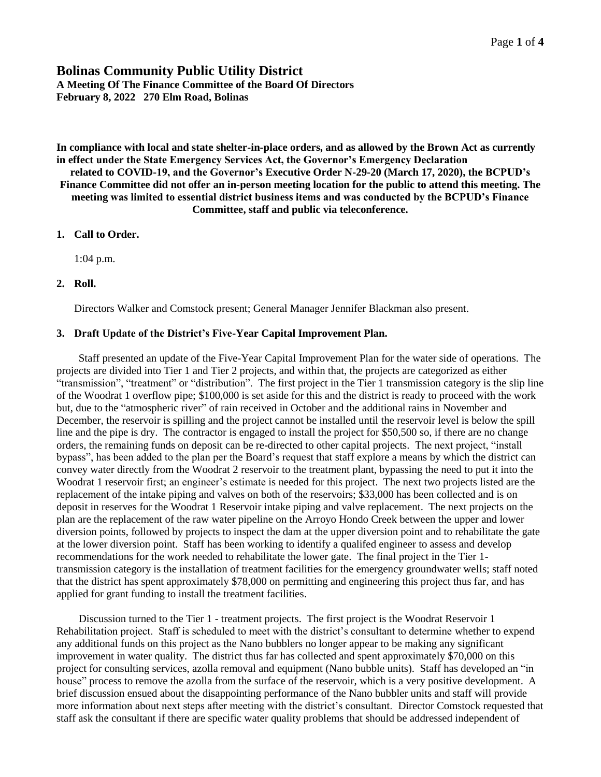# **Bolinas Community Public Utility District**

**A Meeting Of The Finance Committee of the Board Of Directors February 8, 2022 270 Elm Road, Bolinas**

**In compliance with local and state shelter-in-place orders, and as allowed by the Brown Act as currently in effect under the State Emergency Services Act, the Governor's Emergency Declaration related to COVID-19, and the Governor's Executive Order N-29-20 (March 17, 2020), the BCPUD's Finance Committee did not offer an in-person meeting location for the public to attend this meeting. The meeting was limited to essential district business items and was conducted by the BCPUD's Finance Committee, staff and public via teleconference.**

## **1. Call to Order.**

1:04 p.m.

## **2. Roll.**

Directors Walker and Comstock present; General Manager Jennifer Blackman also present.

## **3. Draft Update of the District's Five-Year Capital Improvement Plan.**

Staff presented an update of the Five-Year Capital Improvement Plan for the water side of operations. The projects are divided into Tier 1 and Tier 2 projects, and within that, the projects are categorized as either "transmission", "treatment" or "distribution". The first project in the Tier 1 transmission category is the slip line of the Woodrat 1 overflow pipe; \$100,000 is set aside for this and the district is ready to proceed with the work but, due to the "atmospheric river" of rain received in October and the additional rains in November and December, the reservoir is spilling and the project cannot be installed until the reservoir level is below the spill line and the pipe is dry. The contractor is engaged to install the project for \$50,500 so, if there are no change orders, the remaining funds on deposit can be re-directed to other capital projects. The next project, "install bypass", has been added to the plan per the Board's request that staff explore a means by which the district can convey water directly from the Woodrat 2 reservoir to the treatment plant, bypassing the need to put it into the Woodrat 1 reservoir first; an engineer's estimate is needed for this project. The next two projects listed are the replacement of the intake piping and valves on both of the reservoirs; \$33,000 has been collected and is on deposit in reserves for the Woodrat 1 Reservoir intake piping and valve replacement. The next projects on the plan are the replacement of the raw water pipeline on the Arroyo Hondo Creek between the upper and lower diversion points, followed by projects to inspect the dam at the upper diversion point and to rehabilitate the gate at the lower diversion point. Staff has been working to identify a qualifed engineer to assess and develop recommendations for the work needed to rehabilitate the lower gate. The final project in the Tier 1 transmission category is the installation of treatment facilities for the emergency groundwater wells; staff noted that the district has spent approximately \$78,000 on permitting and engineering this project thus far, and has applied for grant funding to install the treatment facilities.

Discussion turned to the Tier 1 - treatment projects. The first project is the Woodrat Reservoir 1 Rehabilitation project. Staff is scheduled to meet with the district's consultant to determine whether to expend any additional funds on this project as the Nano bubblers no longer appear to be making any significant improvement in water quality. The district thus far has collected and spent approximately \$70,000 on this project for consulting services, azolla removal and equipment (Nano bubble units). Staff has developed an "in house" process to remove the azolla from the surface of the reservoir, which is a very positive development. A brief discussion ensued about the disappointing performance of the Nano bubbler units and staff will provide more information about next steps after meeting with the district's consultant. Director Comstock requested that staff ask the consultant if there are specific water quality problems that should be addressed independent of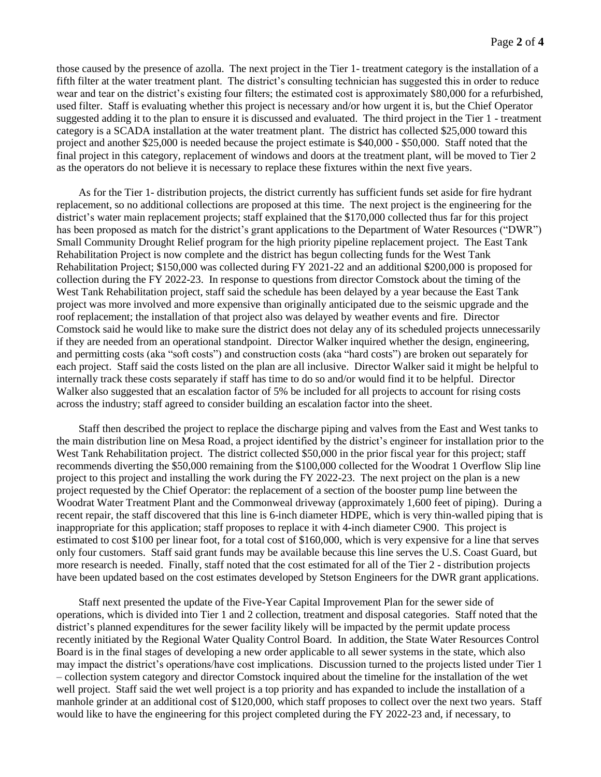those caused by the presence of azolla. The next project in the Tier 1- treatment category is the installation of a fifth filter at the water treatment plant. The district's consulting technician has suggested this in order to reduce wear and tear on the district's existing four filters; the estimated cost is approximately \$80,000 for a refurbished, used filter. Staff is evaluating whether this project is necessary and/or how urgent it is, but the Chief Operator suggested adding it to the plan to ensure it is discussed and evaluated. The third project in the Tier 1 - treatment category is a SCADA installation at the water treatment plant. The district has collected \$25,000 toward this project and another \$25,000 is needed because the project estimate is \$40,000 - \$50,000. Staff noted that the final project in this category, replacement of windows and doors at the treatment plant, will be moved to Tier 2 as the operators do not believe it is necessary to replace these fixtures within the next five years.

As for the Tier 1- distribution projects, the district currently has sufficient funds set aside for fire hydrant replacement, so no additional collections are proposed at this time. The next project is the engineering for the district's water main replacement projects; staff explained that the \$170,000 collected thus far for this project has been proposed as match for the district's grant applications to the Department of Water Resources ("DWR") Small Community Drought Relief program for the high priority pipeline replacement project. The East Tank Rehabilitation Project is now complete and the district has begun collecting funds for the West Tank Rehabilitation Project; \$150,000 was collected during FY 2021-22 and an additional \$200,000 is proposed for collection during the FY 2022-23. In response to questions from director Comstock about the timing of the West Tank Rehabilitation project, staff said the schedule has been delayed by a year because the East Tank project was more involved and more expensive than originally anticipated due to the seismic upgrade and the roof replacement; the installation of that project also was delayed by weather events and fire. Director Comstock said he would like to make sure the district does not delay any of its scheduled projects unnecessarily if they are needed from an operational standpoint. Director Walker inquired whether the design, engineering, and permitting costs (aka "soft costs") and construction costs (aka "hard costs") are broken out separately for each project. Staff said the costs listed on the plan are all inclusive. Director Walker said it might be helpful to internally track these costs separately if staff has time to do so and/or would find it to be helpful. Director Walker also suggested that an escalation factor of 5% be included for all projects to account for rising costs across the industry; staff agreed to consider building an escalation factor into the sheet.

Staff then described the project to replace the discharge piping and valves from the East and West tanks to the main distribution line on Mesa Road, a project identified by the district's engineer for installation prior to the West Tank Rehabilitation project. The district collected \$50,000 in the prior fiscal year for this project; staff recommends diverting the \$50,000 remaining from the \$100,000 collected for the Woodrat 1 Overflow Slip line project to this project and installing the work during the FY 2022-23. The next project on the plan is a new project requested by the Chief Operator: the replacement of a section of the booster pump line between the Woodrat Water Treatment Plant and the Commonweal driveway (approximately 1,600 feet of piping). During a recent repair, the staff discovered that this line is 6-inch diameter HDPE, which is very thin-walled piping that is inappropriate for this application; staff proposes to replace it with 4-inch diameter C900. This project is estimated to cost \$100 per linear foot, for a total cost of \$160,000, which is very expensive for a line that serves only four customers. Staff said grant funds may be available because this line serves the U.S. Coast Guard, but more research is needed. Finally, staff noted that the cost estimated for all of the Tier 2 - distribution projects have been updated based on the cost estimates developed by Stetson Engineers for the DWR grant applications.

Staff next presented the update of the Five-Year Capital Improvement Plan for the sewer side of operations, which is divided into Tier 1 and 2 collection, treatment and disposal categories. Staff noted that the district's planned expenditures for the sewer facility likely will be impacted by the permit update process recently initiated by the Regional Water Quality Control Board. In addition, the State Water Resources Control Board is in the final stages of developing a new order applicable to all sewer systems in the state, which also may impact the district's operations/have cost implications. Discussion turned to the projects listed under Tier 1 – collection system category and director Comstock inquired about the timeline for the installation of the wet well project. Staff said the wet well project is a top priority and has expanded to include the installation of a manhole grinder at an additional cost of \$120,000, which staff proposes to collect over the next two years. Staff would like to have the engineering for this project completed during the FY 2022-23 and, if necessary, to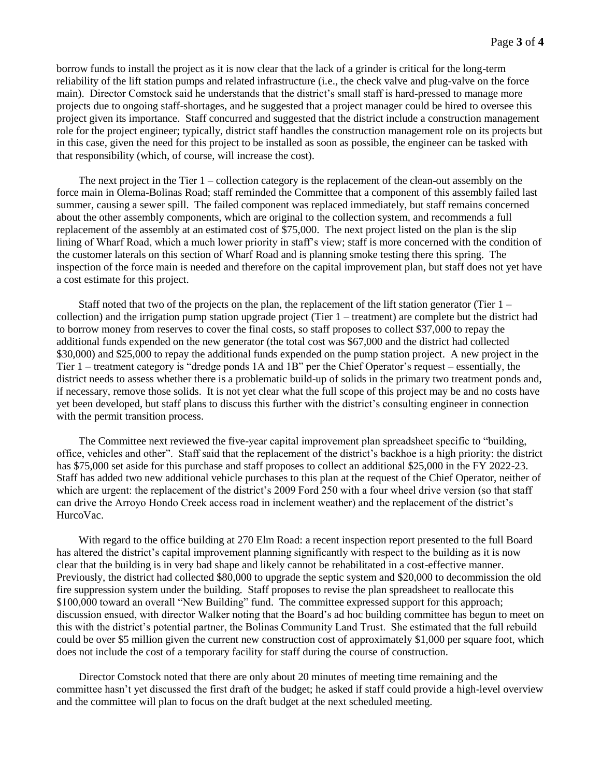borrow funds to install the project as it is now clear that the lack of a grinder is critical for the long-term reliability of the lift station pumps and related infrastructure (i.e., the check valve and plug-valve on the force main). Director Comstock said he understands that the district's small staff is hard-pressed to manage more projects due to ongoing staff-shortages, and he suggested that a project manager could be hired to oversee this project given its importance. Staff concurred and suggested that the district include a construction management role for the project engineer; typically, district staff handles the construction management role on its projects but in this case, given the need for this project to be installed as soon as possible, the engineer can be tasked with that responsibility (which, of course, will increase the cost).

The next project in the Tier 1 – collection category is the replacement of the clean-out assembly on the force main in Olema-Bolinas Road; staff reminded the Committee that a component of this assembly failed last summer, causing a sewer spill. The failed component was replaced immediately, but staff remains concerned about the other assembly components, which are original to the collection system, and recommends a full replacement of the assembly at an estimated cost of \$75,000. The next project listed on the plan is the slip lining of Wharf Road, which a much lower priority in staff's view; staff is more concerned with the condition of the customer laterals on this section of Wharf Road and is planning smoke testing there this spring. The inspection of the force main is needed and therefore on the capital improvement plan, but staff does not yet have a cost estimate for this project.

Staff noted that two of the projects on the plan, the replacement of the lift station generator (Tier  $1$ collection) and the irrigation pump station upgrade project (Tier 1 – treatment) are complete but the district had to borrow money from reserves to cover the final costs, so staff proposes to collect \$37,000 to repay the additional funds expended on the new generator (the total cost was \$67,000 and the district had collected \$30,000) and \$25,000 to repay the additional funds expended on the pump station project. A new project in the Tier 1 – treatment category is "dredge ponds 1A and 1B" per the Chief Operator's request – essentially, the district needs to assess whether there is a problematic build-up of solids in the primary two treatment ponds and, if necessary, remove those solids. It is not yet clear what the full scope of this project may be and no costs have yet been developed, but staff plans to discuss this further with the district's consulting engineer in connection with the permit transition process.

The Committee next reviewed the five-year capital improvement plan spreadsheet specific to "building, office, vehicles and other". Staff said that the replacement of the district's backhoe is a high priority: the district has \$75,000 set aside for this purchase and staff proposes to collect an additional \$25,000 in the FY 2022-23. Staff has added two new additional vehicle purchases to this plan at the request of the Chief Operator, neither of which are urgent: the replacement of the district's 2009 Ford 250 with a four wheel drive version (so that staff can drive the Arroyo Hondo Creek access road in inclement weather) and the replacement of the district's HurcoVac.

With regard to the office building at 270 Elm Road: a recent inspection report presented to the full Board has altered the district's capital improvement planning significantly with respect to the building as it is now clear that the building is in very bad shape and likely cannot be rehabilitated in a cost-effective manner. Previously, the district had collected \$80,000 to upgrade the septic system and \$20,000 to decommission the old fire suppression system under the building. Staff proposes to revise the plan spreadsheet to reallocate this \$100,000 toward an overall "New Building" fund. The committee expressed support for this approach; discussion ensued, with director Walker noting that the Board's ad hoc building committee has begun to meet on this with the district's potential partner, the Bolinas Community Land Trust. She estimated that the full rebuild could be over \$5 million given the current new construction cost of approximately \$1,000 per square foot, which does not include the cost of a temporary facility for staff during the course of construction.

Director Comstock noted that there are only about 20 minutes of meeting time remaining and the committee hasn't yet discussed the first draft of the budget; he asked if staff could provide a high-level overview and the committee will plan to focus on the draft budget at the next scheduled meeting.